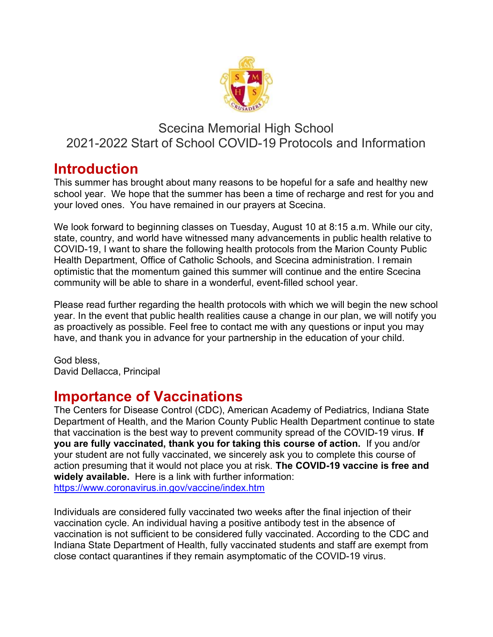

#### Scecina Memorial High School 2021-2022 Start of School COVID-19 Protocols and Information

#### Introduction

This summer has brought about many reasons to be hopeful for a safe and healthy new school year. We hope that the summer has been a time of recharge and rest for you and your loved ones. You have remained in our prayers at Scecina.

We look forward to beginning classes on Tuesday, August 10 at 8:15 a.m. While our city, state, country, and world have witnessed many advancements in public health relative to COVID-19, I want to share the following health protocols from the Marion County Public Health Department, Office of Catholic Schools, and Scecina administration. I remain optimistic that the momentum gained this summer will continue and the entire Scecina community will be able to share in a wonderful, event-filled school year.

Please read further regarding the health protocols with which we will begin the new school year. In the event that public health realities cause a change in our plan, we will notify you as proactively as possible. Feel free to contact me with any questions or input you may have, and thank you in advance for your partnership in the education of your child.

God bless, David Dellacca, Principal

## Importance of Vaccinations

The Centers for Disease Control (CDC), American Academy of Pediatrics, Indiana State Department of Health, and the Marion County Public Health Department continue to state that vaccination is the best way to prevent community spread of the COVID-19 virus. If you are fully vaccinated, thank you for taking this course of action. If you and/or your student are not fully vaccinated, we sincerely ask you to complete this course of action presuming that it would not place you at risk. The COVID-19 vaccine is free and widely available. Here is a link with further information: https://www.coronavirus.in.gov/vaccine/index.htm

Individuals are considered fully vaccinated two weeks after the final injection of their vaccination cycle. An individual having a positive antibody test in the absence of vaccination is not sufficient to be considered fully vaccinated. According to the CDC and Indiana State Department of Health, fully vaccinated students and staff are exempt from close contact quarantines if they remain asymptomatic of the COVID-19 virus.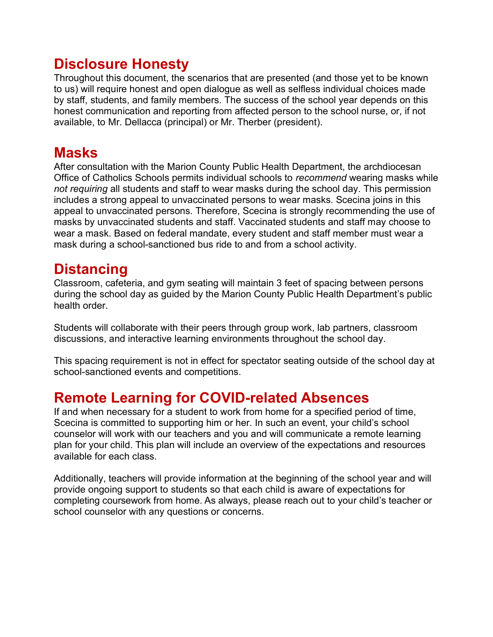## Disclosure Honesty

Throughout this document, the scenarios that are presented (and those yet to be known to us) will require honest and open dialogue as well as selfless individual choices made by staff, students, and family members. The success of the school year depends on this honest communication and reporting from affected person to the school nurse, or, if not available, to Mr. Dellacca (principal) or Mr. Therber (president).

## **Masks**

After consultation with the Marion County Public Health Department, the archdiocesan Office of Catholics Schools permits individual schools to recommend wearing masks while not requiring all students and staff to wear masks during the school day. This permission includes a strong appeal to unvaccinated persons to wear masks. Scecina joins in this appeal to unvaccinated persons. Therefore, Scecina is strongly recommending the use of masks by unvaccinated students and staff. Vaccinated students and staff may choose to wear a mask. Based on federal mandate, every student and staff member must wear a mask during a school-sanctioned bus ride to and from a school activity.

## **Distancing**

Classroom, cafeteria, and gym seating will maintain 3 feet of spacing between persons during the school day as guided by the Marion County Public Health Department's public health order.

Students will collaborate with their peers through group work, lab partners, classroom discussions, and interactive learning environments throughout the school day.

This spacing requirement is not in effect for spectator seating outside of the school day at school-sanctioned events and competitions.

### Remote Learning for COVID-related Absences

If and when necessary for a student to work from home for a specified period of time, Scecina is committed to supporting him or her. In such an event, your child's school counselor will work with our teachers and you and will communicate a remote learning plan for your child. This plan will include an overview of the expectations and resources available for each class.

Additionally, teachers will provide information at the beginning of the school year and will provide ongoing support to students so that each child is aware of expectations for completing coursework from home. As always, please reach out to your child's teacher or school counselor with any questions or concerns.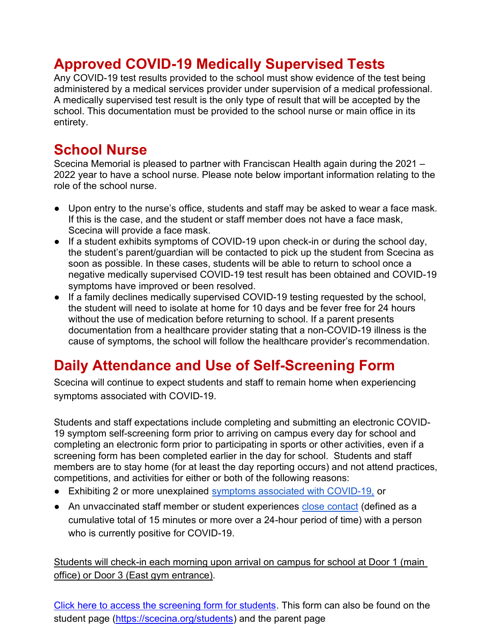# Approved COVID-19 Medically Supervised Tests

Any COVID-19 test results provided to the school must show evidence of the test being administered by a medical services provider under supervision of a medical professional. A medically supervised test result is the only type of result that will be accepted by the school. This documentation must be provided to the school nurse or main office in its entirety.

## School Nurse

Scecina Memorial is pleased to partner with Franciscan Health again during the 2021 – 2022 year to have a school nurse. Please note below important information relating to the role of the school nurse.

- Upon entry to the nurse's office, students and staff may be asked to wear a face mask. If this is the case, and the student or staff member does not have a face mask, Scecina will provide a face mask.
- If a student exhibits symptoms of COVID-19 upon check-in or during the school day, the student's parent/guardian will be contacted to pick up the student from Scecina as soon as possible. In these cases, students will be able to return to school once a negative medically supervised COVID-19 test result has been obtained and COVID-19 symptoms have improved or been resolved.
- If a family declines medically supervised COVID-19 testing requested by the school, the student will need to isolate at home for 10 days and be fever free for 24 hours without the use of medication before returning to school. If a parent presents documentation from a healthcare provider stating that a non-COVID-19 illness is the cause of symptoms, the school will follow the healthcare provider's recommendation.

# Daily Attendance and Use of Self-Screening Form

Scecina will continue to expect students and staff to remain home when experiencing symptoms associated with COVID-19.

Students and staff expectations include completing and submitting an electronic COVID-19 symptom self-screening form prior to arriving on campus every day for school and completing an electronic form prior to participating in sports or other activities, even if a screening form has been completed earlier in the day for school. Students and staff members are to stay home (for at least the day reporting occurs) and not attend practices, competitions, and activities for either or both of the following reasons:

- Exhibiting 2 or more unexplained symptoms associated with COVID-19, or
- An unvaccinated staff member or student experiences close contact (defined as a cumulative total of 15 minutes or more over a 24-hour period of time) with a person who is currently positive for COVID-19.

Students will check-in each morning upon arrival on campus for school at Door 1 (main office) or Door 3 (East gym entrance).

Click here to access the screening form for students. This form can also be found on the student page (https://scecina.org/students) and the parent page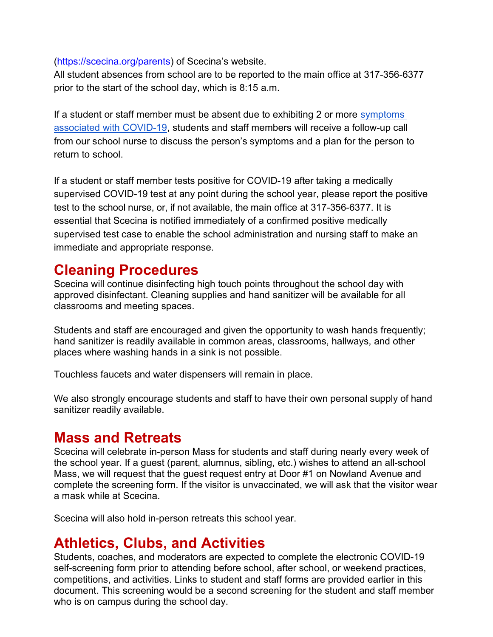(https://scecina.org/parents) of Scecina's website.

All student absences from school are to be reported to the main office at 317-356-6377 prior to the start of the school day, which is 8:15 a.m.

If a student or staff member must be absent due to exhibiting 2 or more symptoms associated with COVID-19, students and staff members will receive a follow-up call from our school nurse to discuss the person's symptoms and a plan for the person to return to school.

If a student or staff member tests positive for COVID-19 after taking a medically supervised COVID-19 test at any point during the school year, please report the positive test to the school nurse, or, if not available, the main office at 317-356-6377. It is essential that Scecina is notified immediately of a confirmed positive medically supervised test case to enable the school administration and nursing staff to make an immediate and appropriate response.

## Cleaning Procedures

Scecina will continue disinfecting high touch points throughout the school day with approved disinfectant. Cleaning supplies and hand sanitizer will be available for all classrooms and meeting spaces.

Students and staff are encouraged and given the opportunity to wash hands frequently; hand sanitizer is readily available in common areas, classrooms, hallways, and other places where washing hands in a sink is not possible.

Touchless faucets and water dispensers will remain in place.

We also strongly encourage students and staff to have their own personal supply of hand sanitizer readily available.

### Mass and Retreats

Scecina will celebrate in-person Mass for students and staff during nearly every week of the school year. If a guest (parent, alumnus, sibling, etc.) wishes to attend an all-school Mass, we will request that the guest request entry at Door #1 on Nowland Avenue and complete the screening form. If the visitor is unvaccinated, we will ask that the visitor wear a mask while at Scecina.

Scecina will also hold in-person retreats this school year.

### Athletics, Clubs, and Activities

Students, coaches, and moderators are expected to complete the electronic COVID-19 self-screening form prior to attending before school, after school, or weekend practices, competitions, and activities. Links to student and staff forms are provided earlier in this document. This screening would be a second screening for the student and staff member who is on campus during the school day.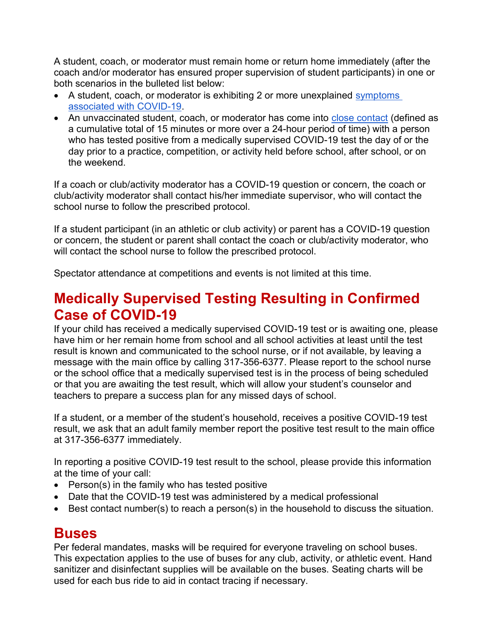A student, coach, or moderator must remain home or return home immediately (after the coach and/or moderator has ensured proper supervision of student participants) in one or both scenarios in the bulleted list below:

- A student, coach, or moderator is exhibiting 2 or more unexplained symptoms associated with COVID-19.
- An unvaccinated student, coach, or moderator has come into close contact (defined as a cumulative total of 15 minutes or more over a 24-hour period of time) with a person who has tested positive from a medically supervised COVID-19 test the day of or the day prior to a practice, competition, or activity held before school, after school, or on the weekend.

If a coach or club/activity moderator has a COVID-19 question or concern, the coach or club/activity moderator shall contact his/her immediate supervisor, who will contact the school nurse to follow the prescribed protocol.

If a student participant (in an athletic or club activity) or parent has a COVID-19 question or concern, the student or parent shall contact the coach or club/activity moderator, who will contact the school nurse to follow the prescribed protocol.

Spectator attendance at competitions and events is not limited at this time.

### Medically Supervised Testing Resulting in Confirmed Case of COVID-19

If your child has received a medically supervised COVID-19 test or is awaiting one, please have him or her remain home from school and all school activities at least until the test result is known and communicated to the school nurse, or if not available, by leaving a message with the main office by calling 317-356-6377. Please report to the school nurse or the school office that a medically supervised test is in the process of being scheduled or that you are awaiting the test result, which will allow your student's counselor and teachers to prepare a success plan for any missed days of school.

If a student, or a member of the student's household, receives a positive COVID-19 test result, we ask that an adult family member report the positive test result to the main office at 317-356-6377 immediately.

In reporting a positive COVID-19 test result to the school, please provide this information at the time of your call:

- $\bullet$  Person(s) in the family who has tested positive
- Date that the COVID-19 test was administered by a medical professional
- Best contact number(s) to reach a person(s) in the household to discuss the situation.

#### **Buses**

Per federal mandates, masks will be required for everyone traveling on school buses. This expectation applies to the use of buses for any club, activity, or athletic event. Hand sanitizer and disinfectant supplies will be available on the buses. Seating charts will be used for each bus ride to aid in contact tracing if necessary.